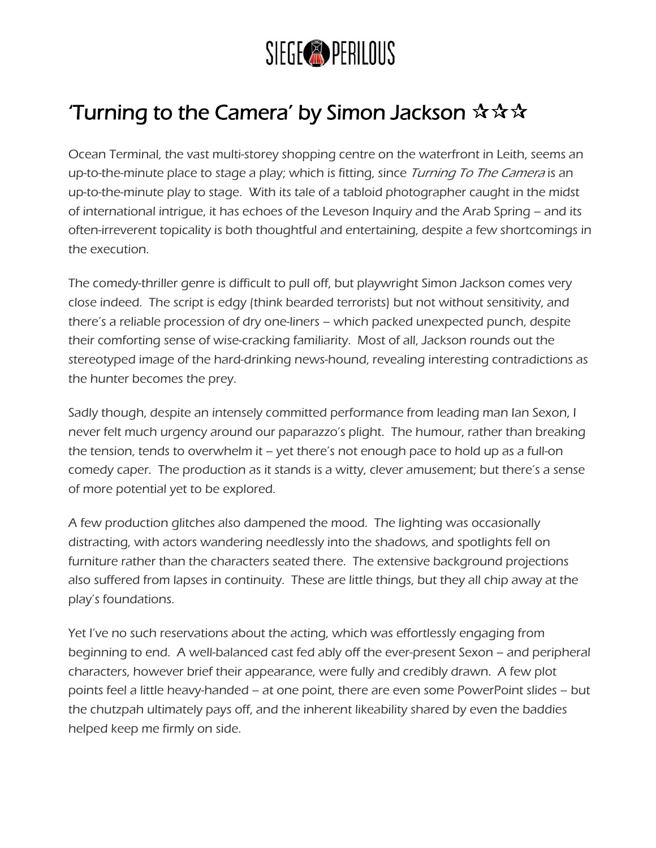

## Turning to the Camera' by Simon Jackson  $\mathbf{\hat{x}} \mathbf{\hat{x}} \mathbf{\hat{x}}$

Ocean Terminal, the vast multi-storey shopping centre on the waterfront in Leith, seems an up-to-the-minute place to stage a play; which is fitting, since Turning To The Camera is an up-to-the-minute play to stage. With its tale of a tabloid photographer caught in the midst of international intrigue, it has echoes of the Leveson Inquiry and the Arab Spring – and its often-irreverent topicality is both thoughtful and entertaining, despite a few shortcomings in the execution.

The comedy-thriller genre is difficult to pull off, but playwright Simon Jackson comes very close indeed. The script is edgy (think bearded terrorists) but not without sensitivity, and there's a reliable procession of dry one-liners – which packed unexpected punch, despite their comforting sense of wise-cracking familiarity. Most of all, Jackson rounds out the stereotyped image of the hard-drinking news-hound, revealing interesting contradictions as the hunter becomes the prey.

Sadly though, despite an intensely committed performance from leading man Ian Sexon, I never felt much urgency around our paparazzo's plight. The humour, rather than breaking the tension, tends to overwhelm it – yet there's not enough pace to hold up as a full-on comedy caper. The production as it stands is a witty, clever amusement; but there's a sense of more potential yet to be explored.

A few production glitches also dampened the mood. The lighting was occasionally distracting, with actors wandering needlessly into the shadows, and spotlights fell on furniture rather than the characters seated there. The extensive background projections also suffered from lapses in continuity. These are little things, but they all chip away at the play's foundations.

Yet I've no such reservations about the acting, which was effortlessly engaging from beginning to end. A well-balanced cast fed ably off the ever-present Sexon – and peripheral characters, however brief their appearance, were fully and credibly drawn. A few plot points feel a little heavy-handed – at one point, there are even some PowerPoint slides – but the chutzpah ultimately pays off, and the inherent likeability shared by even the baddies helped keep me firmly on side.